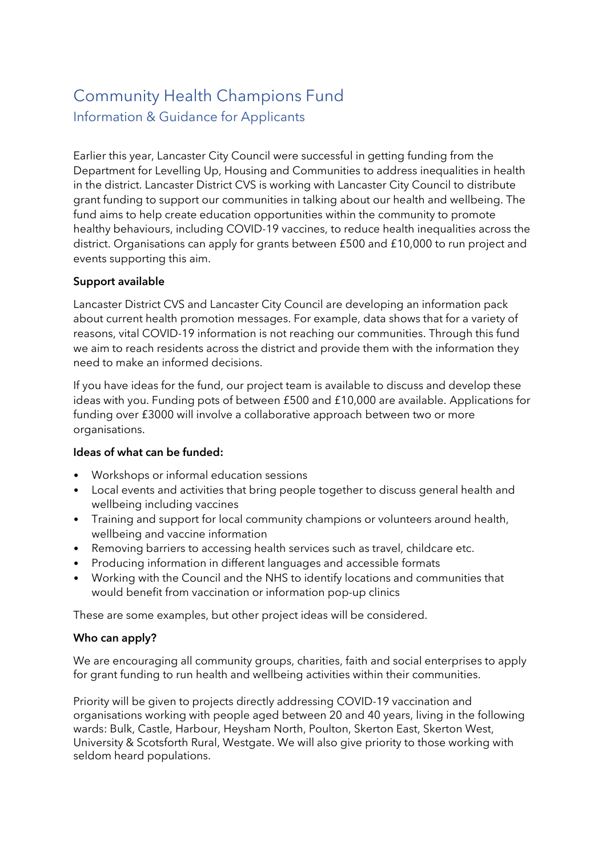# Community Health Champions Fund Information & Guidance for Applicants

Earlier this year, Lancaster City Council were successful in getting funding from the Department for Levelling Up, Housing and Communities to address inequalities in health in the district. Lancaster District CVS is working with Lancaster City Council to distribute grant funding to support our communities in talking about our health and wellbeing. The fund aims to help create education opportunities within the community to promote healthy behaviours, including COVID-19 vaccines, to reduce health inequalities across the district. Organisations can apply for grants between £500 and £10,000 to run project and events supporting this aim.

# Support available

Lancaster District CVS and Lancaster City Council are developing an information pack about current health promotion messages. For example, data shows that for a variety of reasons, vital COVID-19 information is not reaching our communities. Through this fund we aim to reach residents across the district and provide them with the information they need to make an informed decisions.

If you have ideas for the fund, our project team is available to discuss and develop these ideas with you. Funding pots of between £500 and £10,000 are available. Applications for funding over £3000 will involve a collaborative approach between two or more organisations.

# Ideas of what can be funded:

- Workshops or informal education sessions
- Local events and activities that bring people together to discuss general health and wellbeing including vaccines
- Training and support for local community champions or volunteers around health, wellbeing and vaccine information
- Removing barriers to accessing health services such as travel, childcare etc.
- Producing information in different languages and accessible formats
- Working with the Council and the NHS to identify locations and communities that would benefit from vaccination or information pop-up clinics

These are some examples, but other project ideas will be considered.

## Who can apply?

We are encouraging all community groups, charities, faith and social enterprises to apply for grant funding to run health and wellbeing activities within their communities.

Priority will be given to projects directly addressing COVID-19 vaccination and organisations working with people aged between 20 and 40 years, living in the following wards: Bulk, Castle, Harbour, Heysham North, Poulton, Skerton East, Skerton West, University & Scotsforth Rural, Westgate. We will also give priority to those working with seldom heard populations.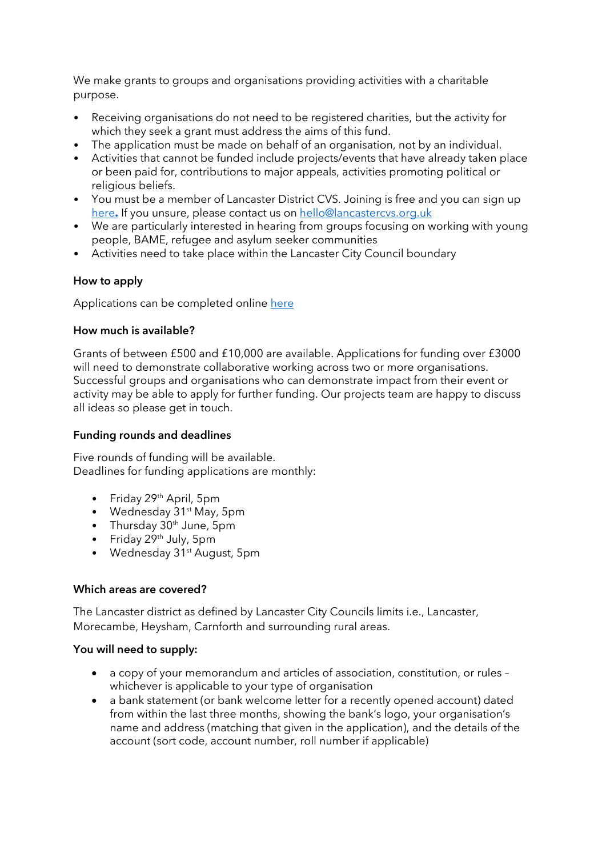We make grants to groups and organisations providing activities with a charitable purpose.

- Receiving organisations do not need to be registered charities, but the activity for which they seek a grant must address the aims of this fund.
- The application must be made on behalf of an organisation, not by an individual.
- Activities that cannot be funded include projects/events that have already taken place or been paid for, contributions to major appeals, activities promoting political or religious beliefs.
- You must be a member of Lancaster District CVS. Joining is free and you can sign up [here](https://lancastercvs.org.uk/join-us-today/)**.** If you unsure, please contact us on [hello@lancastercvs.org.uk](mailto:hello@lancastercvs.org.uk)
- We are particularly interested in hearing from groups focusing on working with young people, BAME, refugee and asylum seeker communities
- Activities need to take place within the Lancaster City Council boundary

# How to apply

Applications can be completed online [here](https://morecambebay.grantplatform.com/)

## How much is available?

Grants of between £500 and £10,000 are available. Applications for funding over £3000 will need to demonstrate collaborative working across two or more organisations. Successful groups and organisations who can demonstrate impact from their event or activity may be able to apply for further funding. Our projects team are happy to discuss all ideas so please get in touch.

## Funding rounds and deadlines

Five rounds of funding will be available. Deadlines for funding applications are monthly:

- Friday 29<sup>th</sup> April, 5pm
- Wednesday 31<sup>st</sup> May, 5pm
- Thursday 30<sup>th</sup> June, 5pm
- Friday 29<sup>th</sup> July, 5pm
- Wednesday 31<sup>st</sup> August, 5pm

## Which areas are covered?

The Lancaster district as defined by Lancaster City Councils limits i.e., Lancaster, Morecambe, Heysham, Carnforth and surrounding rural areas.

## You will need to supply:

- a copy of your memorandum and articles of association, constitution, or rules whichever is applicable to your type of organisation
- a bank statement (or bank welcome letter for a recently opened account) dated from within the last three months, showing the bank's logo, your organisation's name and address (matching that given in the application), and the details of the account (sort code, account number, roll number if applicable)